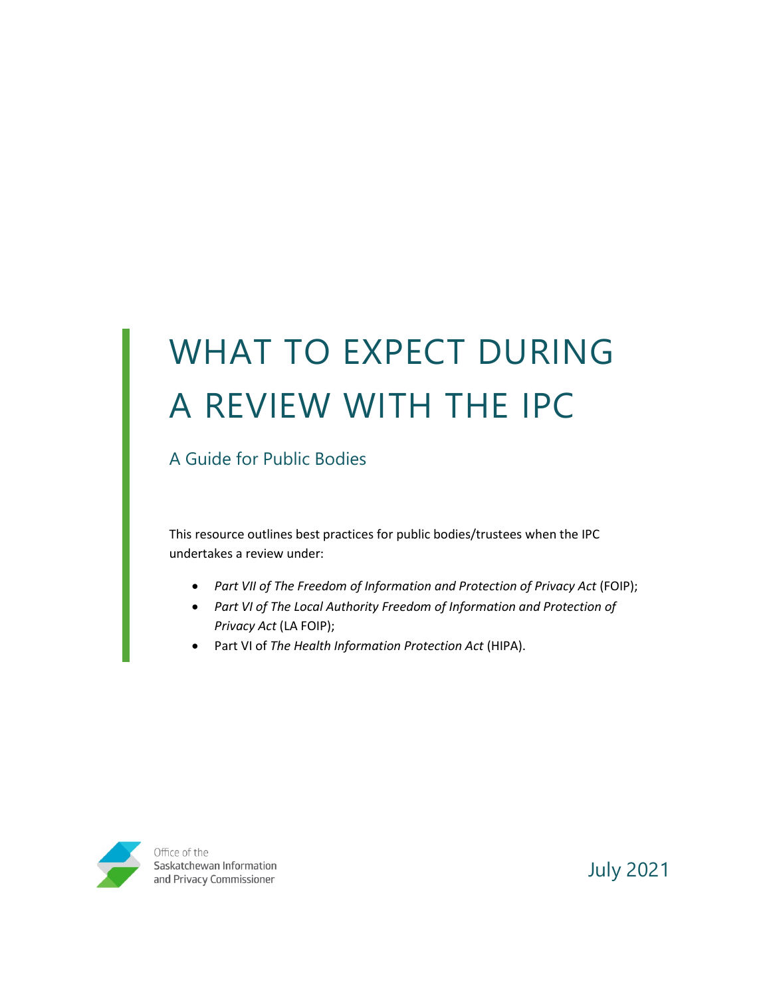# WHAT TO EXPECT DURING A REVIEW WITH THE IPC

A Guide for Public Bodies

This resource outlines best practices for public bodies/trustees when the IPC undertakes a review under:

- *Part VII of The Freedom of Information and Protection of Privacy Act* (FOIP);
- *Part VI of The Local Authority Freedom of Information and Protection of Privacy Act* (LA FOIP);
- Part VI of *The Health Information Protection Act* (HIPA).



Office of the Saskatchewan Information and Privacy Commissioner

July 2021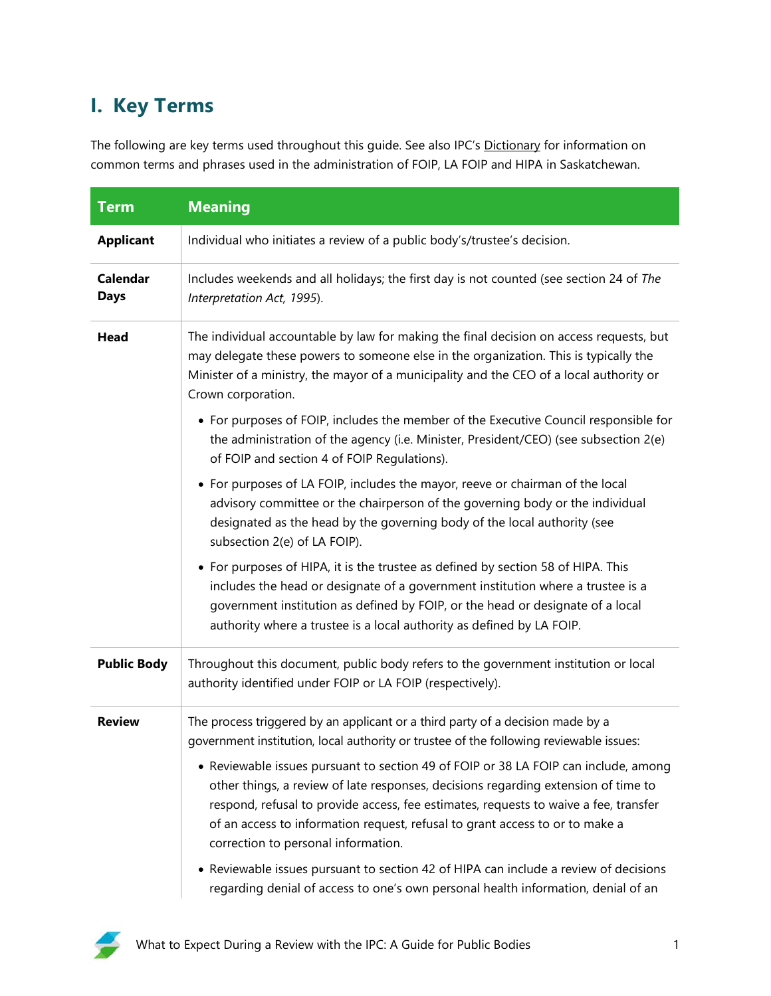# **I. Key Terms**

The following are key terms used throughout this guide. See also IPC's [Dictionary](https://oipc.sk.ca/resources/dictionary/) for information on common terms and phrases used in the administration of FOIP, LA FOIP and HIPA in Saskatchewan.

| <b>Term</b>                    | <b>Meaning</b>                                                                                                                                                                                                                                                                                                                                                                           |  |
|--------------------------------|------------------------------------------------------------------------------------------------------------------------------------------------------------------------------------------------------------------------------------------------------------------------------------------------------------------------------------------------------------------------------------------|--|
| <b>Applicant</b>               | Individual who initiates a review of a public body's/trustee's decision.                                                                                                                                                                                                                                                                                                                 |  |
| <b>Calendar</b><br><b>Days</b> | Includes weekends and all holidays; the first day is not counted (see section 24 of The<br>Interpretation Act, 1995).                                                                                                                                                                                                                                                                    |  |
| <b>Head</b>                    | The individual accountable by law for making the final decision on access requests, but<br>may delegate these powers to someone else in the organization. This is typically the<br>Minister of a ministry, the mayor of a municipality and the CEO of a local authority or<br>Crown corporation.                                                                                         |  |
|                                | • For purposes of FOIP, includes the member of the Executive Council responsible for<br>the administration of the agency (i.e. Minister, President/CEO) (see subsection 2(e)<br>of FOIP and section 4 of FOIP Regulations).                                                                                                                                                              |  |
|                                | • For purposes of LA FOIP, includes the mayor, reeve or chairman of the local<br>advisory committee or the chairperson of the governing body or the individual<br>designated as the head by the governing body of the local authority (see<br>subsection 2(e) of LA FOIP).                                                                                                               |  |
|                                | • For purposes of HIPA, it is the trustee as defined by section 58 of HIPA. This<br>includes the head or designate of a government institution where a trustee is a<br>government institution as defined by FOIP, or the head or designate of a local<br>authority where a trustee is a local authority as defined by LA FOIP.                                                           |  |
| <b>Public Body</b>             | Throughout this document, public body refers to the government institution or local<br>authority identified under FOIP or LA FOIP (respectively).                                                                                                                                                                                                                                        |  |
| <b>Review</b>                  | The process triggered by an applicant or a third party of a decision made by a<br>government institution, local authority or trustee of the following reviewable issues:                                                                                                                                                                                                                 |  |
|                                | • Reviewable issues pursuant to section 49 of FOIP or 38 LA FOIP can include, among<br>other things, a review of late responses, decisions regarding extension of time to<br>respond, refusal to provide access, fee estimates, requests to waive a fee, transfer<br>of an access to information request, refusal to grant access to or to make a<br>correction to personal information. |  |
|                                | • Reviewable issues pursuant to section 42 of HIPA can include a review of decisions<br>regarding denial of access to one's own personal health information, denial of an                                                                                                                                                                                                                |  |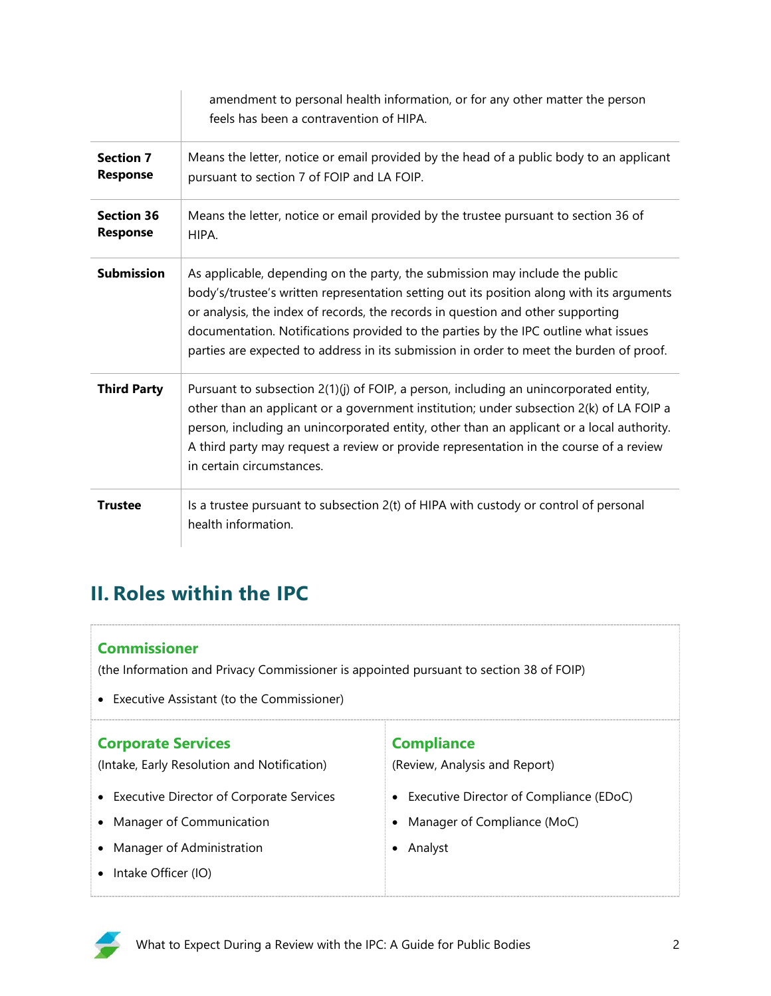|                                      | amendment to personal health information, or for any other matter the person<br>feels has been a contravention of HIPA.                                                                                                                                                                                                                                                                                                                        |  |
|--------------------------------------|------------------------------------------------------------------------------------------------------------------------------------------------------------------------------------------------------------------------------------------------------------------------------------------------------------------------------------------------------------------------------------------------------------------------------------------------|--|
| <b>Section 7</b><br><b>Response</b>  | Means the letter, notice or email provided by the head of a public body to an applicant<br>pursuant to section 7 of FOIP and LA FOIP.                                                                                                                                                                                                                                                                                                          |  |
| <b>Section 36</b><br><b>Response</b> | Means the letter, notice or email provided by the trustee pursuant to section 36 of<br>HIPA.                                                                                                                                                                                                                                                                                                                                                   |  |
| <b>Submission</b>                    | As applicable, depending on the party, the submission may include the public<br>body's/trustee's written representation setting out its position along with its arguments<br>or analysis, the index of records, the records in question and other supporting<br>documentation. Notifications provided to the parties by the IPC outline what issues<br>parties are expected to address in its submission in order to meet the burden of proof. |  |
| <b>Third Party</b>                   | Pursuant to subsection 2(1)(j) of FOIP, a person, including an unincorporated entity,<br>other than an applicant or a government institution; under subsection 2(k) of LA FOIP a<br>person, including an unincorporated entity, other than an applicant or a local authority.<br>A third party may request a review or provide representation in the course of a review<br>in certain circumstances.                                           |  |
| <b>Trustee</b>                       | Is a trustee pursuant to subsection 2(t) of HIPA with custody or control of personal<br>health information.                                                                                                                                                                                                                                                                                                                                    |  |

# **II. Roles within the IPC**

#### **Commissioner**

(the Information and Privacy Commissioner is appointed pursuant to section 38 of FOIP)

• Executive Assistant (to the Commissioner)

| <b>Corporate Services</b><br>(Intake, Early Resolution and Notification) | <b>Compliance</b><br>(Review, Analysis and Report) |
|--------------------------------------------------------------------------|----------------------------------------------------|
| <b>Executive Director of Corporate Services</b><br>$\bullet$             | • Executive Director of Compliance (EDoC)          |
| Manager of Communication<br>$\bullet$                                    | Manager of Compliance (MoC)                        |
| Manager of Administration<br>$\bullet$                                   | Analyst                                            |
| Intake Officer (IO)                                                      |                                                    |

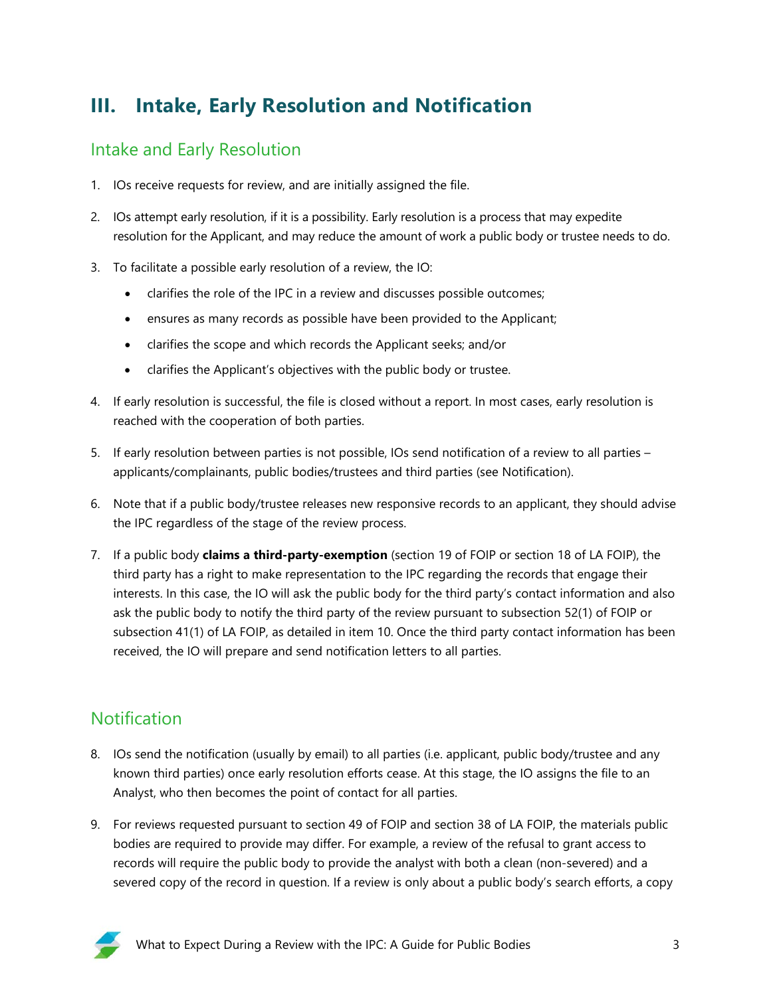# **III. Intake, Early Resolution and Notification**

#### Intake and Early Resolution

- 1. IOs receive requests for review, and are initially assigned the file.
- 2. IOs attempt early resolution, if it is a possibility. Early resolution is a process that may expedite resolution for the Applicant, and may reduce the amount of work a public body or trustee needs to do.
- 3. To facilitate a possible early resolution of a review, the IO:
	- clarifies the role of the IPC in a review and discusses possible outcomes;
	- ensures as many records as possible have been provided to the Applicant;
	- clarifies the scope and which records the Applicant seeks; and/or
	- clarifies the Applicant's objectives with the public body or trustee.
- 4. If early resolution is successful, the file is closed without a report. In most cases, early resolution is reached with the cooperation of both parties.
- 5. If early resolution between parties is not possible, IOs send notification of a review to all parties applicants/complainants, public bodies/trustees and third parties (see Notification).
- 6. Note that if a public body/trustee releases new responsive records to an applicant, they should advise the IPC regardless of the stage of the review process.
- 7. If a public body **claims a third-party-exemption** (section 19 of FOIP or section 18 of LA FOIP), the third party has a right to make representation to the IPC regarding the records that engage their interests. In this case, the IO will ask the public body for the third party's contact information and also ask the public body to notify the third party of the review pursuant to subsection 52(1) of FOIP or subsection 41(1) of LA FOIP, as detailed in item 10. Once the third party contact information has been received, the IO will prepare and send notification letters to all parties.

## Notification

- 8. IOs send the notification (usually by email) to all parties (i.e. applicant, public body/trustee and any known third parties) once early resolution efforts cease. At this stage, the IO assigns the file to an Analyst, who then becomes the point of contact for all parties.
- 9. For reviews requested pursuant to section 49 of FOIP and section 38 of LA FOIP, the materials public bodies are required to provide may differ. For example, a review of the refusal to grant access to records will require the public body to provide the analyst with both a clean (non-severed) and a severed copy of the record in question. If a review is only about a public body's search efforts, a copy

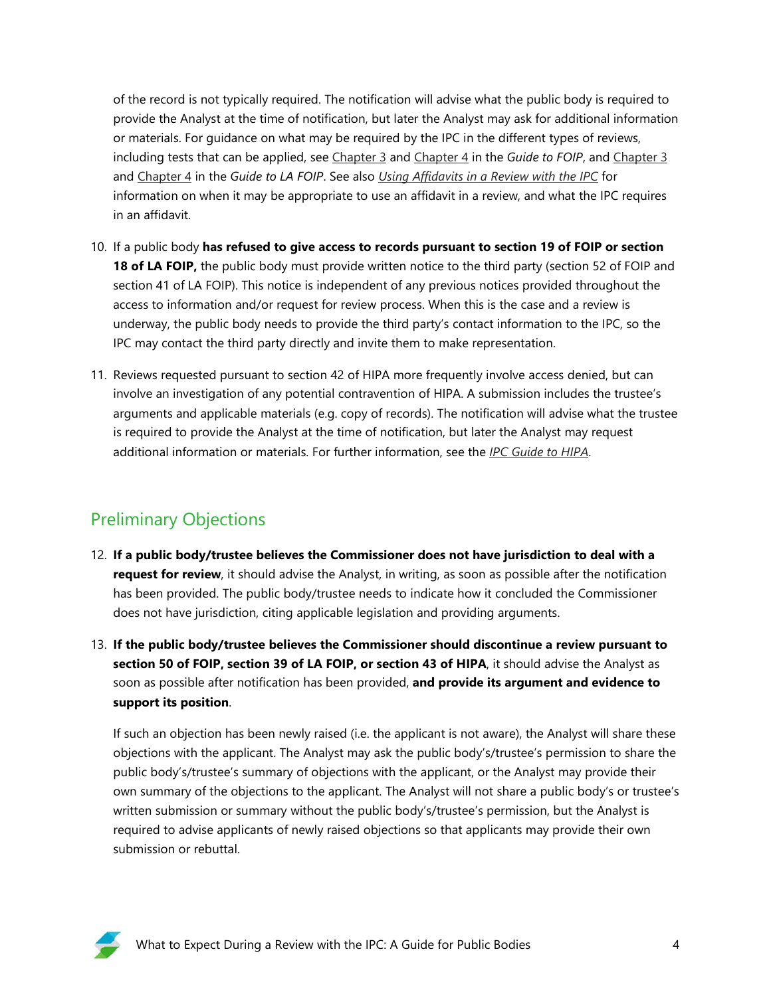of the record is not typically required. The notification will advise what the public body is required to provide the Analyst at the time of notification, but later the Analyst may ask for additional information or materials. For guidance on what may be required by the IPC in the different types of reviews, including tests that can be applied, see [Chapter 3](https://oipc.sk.ca/assets/guide-to-foip-chapter-3.pdf) and [Chapter 4](https://oipc.sk.ca/assets/guide-to-foip-chapter-4.pdf) in the *Guide to FOIP*, and [Chapter 3](https://oipc.sk.ca/assets/guide-to-la-foip-chapter-3-1.pdf) and [Chapter 4](https://oipc.sk.ca/assets/guide-to-la-foip-chapter-4.pdf) in the *Guide to LA FOIP*. See also *[Using Affidavits in a Review with the IPC](https://oipc.sk.ca/assets/using-affidavits-in-a-review-with-the-ipc.pdf)* for information on when it may be appropriate to use an affidavit in a review, and what the IPC requires in an affidavit.

- 10. If a public body **has refused to give access to records pursuant to section 19 of FOIP or section 18 of LA FOIP,** the public body must provide written notice to the third party (section 52 of FOIP and section 41 of LA FOIP). This notice is independent of any previous notices provided throughout the access to information and/or request for review process. When this is the case and a review is underway, the public body needs to provide the third party's contact information to the IPC, so the IPC may contact the third party directly and invite them to make representation.
- 11. Reviews requested pursuant to section 42 of HIPA more frequently involve access denied, but can involve an investigation of any potential contravention of HIPA. A submission includes the trustee's arguments and applicable materials (e.g. copy of records). The notification will advise what the trustee is required to provide the Analyst at the time of notification, but later the Analyst may request additional information or materials. For further information, see the *[IPC Guide to HIPA](https://oipc.sk.ca/assets/ipc-guide-to-hipa.pdf)*.

## Preliminary Objections

- 12. **If a public body/trustee believes the Commissioner does not have jurisdiction to deal with a request for review**, it should advise the Analyst, in writing, as soon as possible after the notification has been provided. The public body/trustee needs to indicate how it concluded the Commissioner does not have jurisdiction, citing applicable legislation and providing arguments.
- 13. **If the public body/trustee believes the Commissioner should discontinue a review pursuant to section 50 of FOIP, section 39 of LA FOIP, or section 43 of HIPA**, it should advise the Analyst as soon as possible after notification has been provided, **and provide its argument and evidence to support its position**.

If such an objection has been newly raised (i.e. the applicant is not aware), the Analyst will share these objections with the applicant. The Analyst may ask the public body's/trustee's permission to share the public body's/trustee's summary of objections with the applicant, or the Analyst may provide their own summary of the objections to the applicant. The Analyst will not share a public body's or trustee's written submission or summary without the public body's/trustee's permission, but the Analyst is required to advise applicants of newly raised objections so that applicants may provide their own submission or rebuttal.

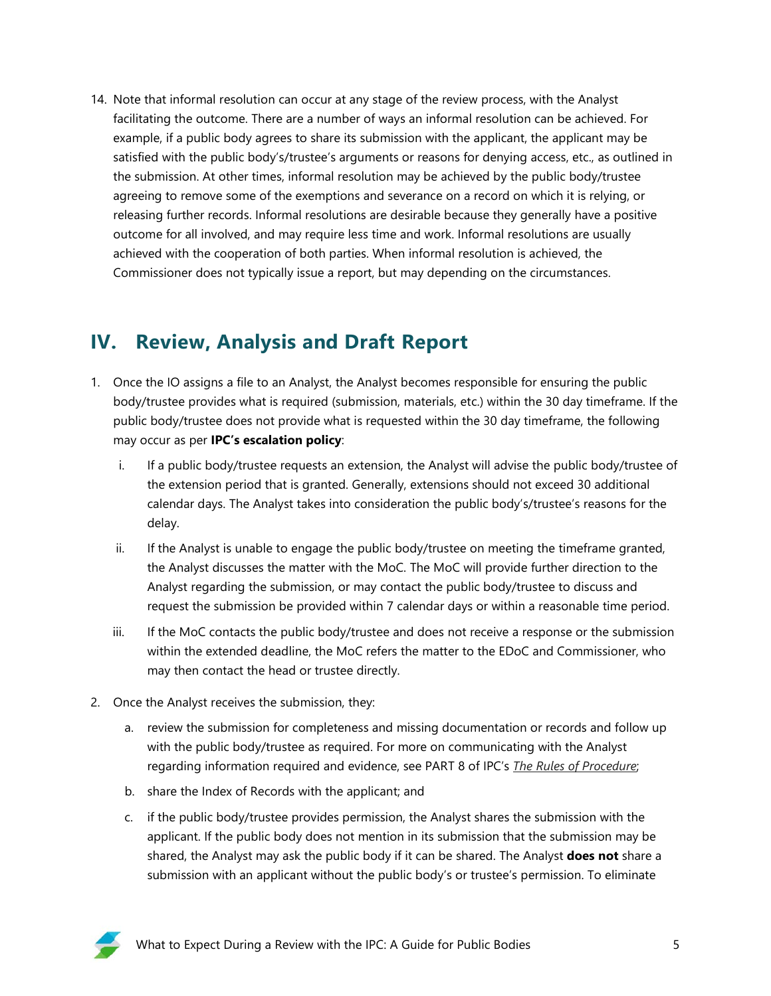14. Note that informal resolution can occur at any stage of the review process, with the Analyst facilitating the outcome. There are a number of ways an informal resolution can be achieved. For example, if a public body agrees to share its submission with the applicant, the applicant may be satisfied with the public body's/trustee's arguments or reasons for denying access, etc., as outlined in the submission. At other times, informal resolution may be achieved by the public body/trustee agreeing to remove some of the exemptions and severance on a record on which it is relying, or releasing further records. Informal resolutions are desirable because they generally have a positive outcome for all involved, and may require less time and work. Informal resolutions are usually achieved with the cooperation of both parties. When informal resolution is achieved, the Commissioner does not typically issue a report, but may depending on the circumstances.

## **IV. Review, Analysis and Draft Report**

- 1. Once the IO assigns a file to an Analyst, the Analyst becomes responsible for ensuring the public body/trustee provides what is required (submission, materials, etc.) within the 30 day timeframe. If the public body/trustee does not provide what is requested within the 30 day timeframe, the following may occur as per **IPC's escalation policy**:
	- i. If a public body/trustee requests an extension, the Analyst will advise the public body/trustee of the extension period that is granted. Generally, extensions should not exceed 30 additional calendar days. The Analyst takes into consideration the public body's/trustee's reasons for the delay.
	- ii. If the Analyst is unable to engage the public body/trustee on meeting the timeframe granted, the Analyst discusses the matter with the MoC. The MoC will provide further direction to the Analyst regarding the submission, or may contact the public body/trustee to discuss and request the submission be provided within 7 calendar days or within a reasonable time period.
	- iii. If the MoC contacts the public body/trustee and does not receive a response or the submission within the extended deadline, the MoC refers the matter to the EDoC and Commissioner, who may then contact the head or trustee directly.
- 2. Once the Analyst receives the submission, they:
	- a. review the submission for completeness and missing documentation or records and follow up with the public body/trustee as required. For more on communicating with the Analyst regarding information required and evidence, see PART 8 of IPC's *[The Rules of Procedure](https://oipc.sk.ca/assets/rules-of-procedure.pdf)*;
	- b. share the Index of Records with the applicant; and
	- c. if the public body/trustee provides permission, the Analyst shares the submission with the applicant. If the public body does not mention in its submission that the submission may be shared, the Analyst may ask the public body if it can be shared. The Analyst **does not** share a submission with an applicant without the public body's or trustee's permission. To eliminate

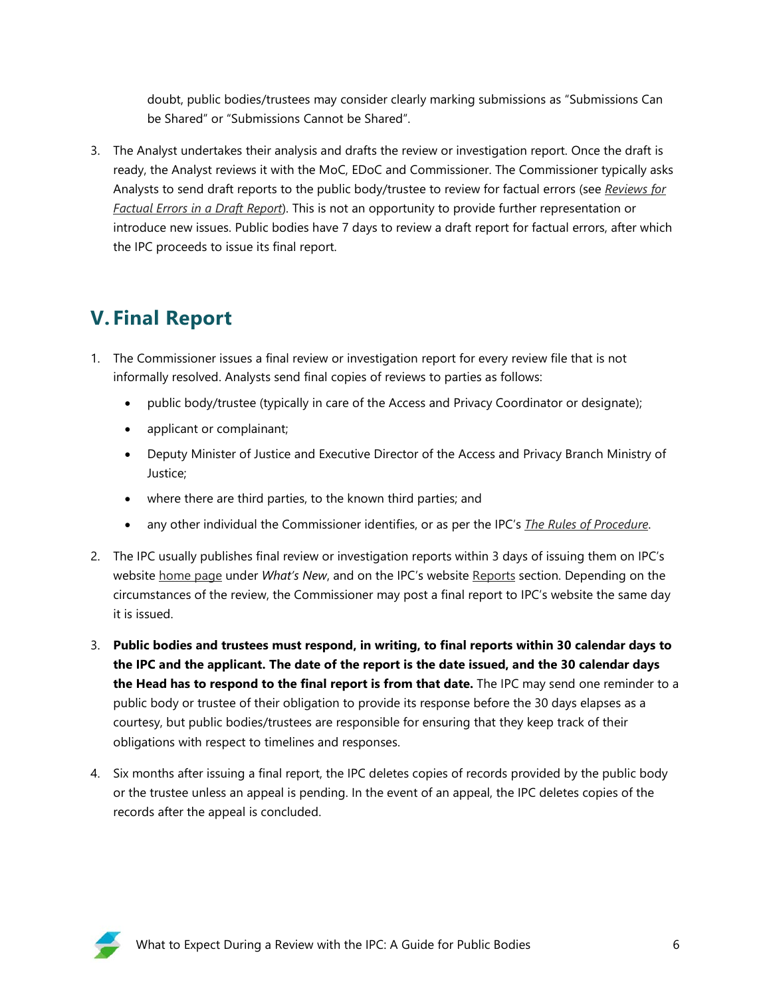doubt, public bodies/trustees may consider clearly marking submissions as "Submissions Can be Shared" or "Submissions Cannot be Shared".

3. The Analyst undertakes their analysis and drafts the review or investigation report. Once the draft is ready, the Analyst reviews it with the MoC, EDoC and Commissioner. The Commissioner typically asks Analysts to send draft reports to the public body/trustee to review for factual errors (see *[Reviews for](https://oipc.sk.ca/reviews-for-factual-errors-in-a-draft-report/)  [Factual Errors in a Draft Report](https://oipc.sk.ca/reviews-for-factual-errors-in-a-draft-report/)*). This is not an opportunity to provide further representation or introduce new issues. Public bodies have 7 days to review a draft report for factual errors, after which the IPC proceeds to issue its final report.

# **V. Final Report**

- 1. The Commissioner issues a final review or investigation report for every review file that is not informally resolved. Analysts send final copies of reviews to parties as follows:
	- public body/trustee (typically in care of the Access and Privacy Coordinator or designate);
	- applicant or complainant;
	- Deputy Minister of Justice and Executive Director of the Access and Privacy Branch Ministry of Justice;
	- where there are third parties, to the known third parties; and
	- any other individual the Commissioner identifies, or as per the IPC's *[The Rules of Procedure](https://oipc.sk.ca/assets/rules-of-procedure.pdf)*.
- 2. The IPC usually publishes final review or investigation reports within 3 days of issuing them on IPC's website [home page](https://oipc.sk.ca/) under *What's New*, and on the IPC's website [Reports](https://oipc.sk.ca/reports/) section. Depending on the circumstances of the review, the Commissioner may post a final report to IPC's website the same day it is issued.
- 3. **Public bodies and trustees must respond, in writing, to final reports within 30 calendar days to the IPC and the applicant. The date of the report is the date issued, and the 30 calendar days the Head has to respond to the final report is from that date.** The IPC may send one reminder to a public body or trustee of their obligation to provide its response before the 30 days elapses as a courtesy, but public bodies/trustees are responsible for ensuring that they keep track of their obligations with respect to timelines and responses.
- 4. Six months after issuing a final report, the IPC deletes copies of records provided by the public body or the trustee unless an appeal is pending. In the event of an appeal, the IPC deletes copies of the records after the appeal is concluded.

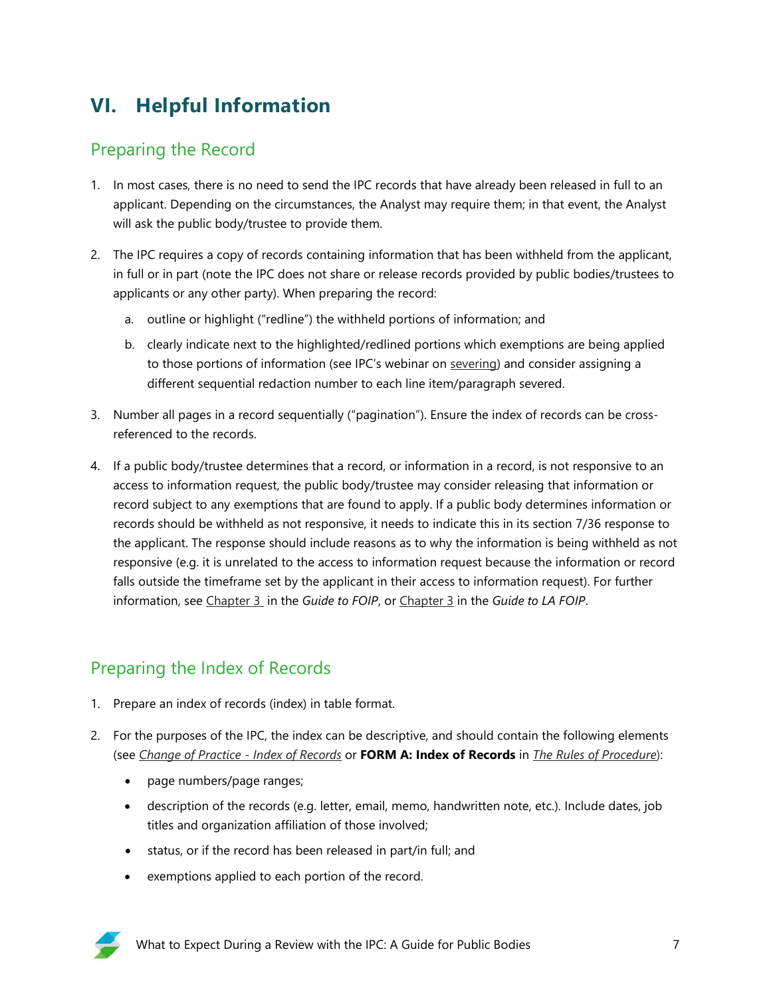# **VI. Helpful Information**

### Preparing the Record

- 1. In most cases, there is no need to send the IPC records that have already been released in full to an applicant. Depending on the circumstances, the Analyst may require them; in that event, the Analyst will ask the public body/trustee to provide them.
- 2. The IPC requires a copy of records containing information that has been withheld from the applicant, in full or in part (note the IPC does not share or release records provided by public bodies/trustees to applicants or any other party). When preparing the record:
	- a. outline or highlight ("redline") the withheld portions of information; and
	- b. clearly indicate next to the highlighted/redlined portions which exemptions are being applied to those portions of information (see IPC's webinar on [severing\)](https://oipc.sk.ca/resources/resource-directory/modern-age-severing-webinar/) and consider assigning a different sequential redaction number to each line item/paragraph severed.
- 3. Number all pages in a record sequentially ("pagination"). Ensure the index of records can be crossreferenced to the records.
- 4. If a public body/trustee determines that a record, or information in a record, is not responsive to an access to information request, the public body/trustee may consider releasing that information or record subject to any exemptions that are found to apply. If a public body determines information or records should be withheld as not responsive, it needs to indicate this in its section 7/36 response to the applicant. The response should include reasons as to why the information is being withheld as not responsive (e.g. it is unrelated to the access to information request because the information or record falls outside the timeframe set by the applicant in their access to information request). For further information, see [Chapter 3](https://oipc.sk.ca/assets/guide-to-foip-chapter-3.pdf) in the *Guide to FOIP*, or [Chapter 3](https://oipc.sk.ca/assets/guide-to-la-foip-chapter-3-1.pdf) in the *Guide to LA FOIP*.

## Preparing the Index of Records

- 1. Prepare an index of records (index) in table format.
- 2. For the purposes of the IPC, the index can be descriptive, and should contain the following elements (see *[Change of Practice -](https://oipc.sk.ca/notice-change-of-practice-index-of-record/) Index of Records* or **FORM A: Index of Records** in *[The Rules of Procedure](https://oipc.sk.ca/assets/rules-of-procedure.pdf)*):
	- page numbers/page ranges;
	- description of the records (e.g. letter, email, memo, handwritten note, etc.). Include dates, job titles and organization affiliation of those involved;
	- status, or if the record has been released in part/in full; and
	- exemptions applied to each portion of the record.

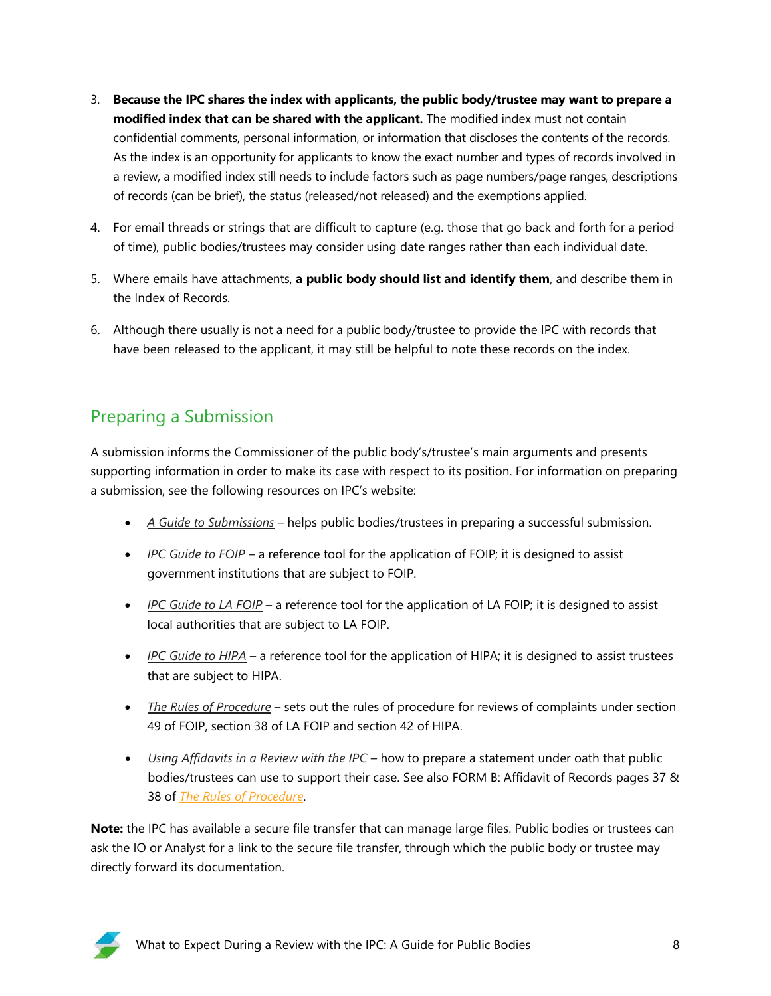- 3. **Because the IPC shares the index with applicants, the public body/trustee may want to prepare a modified index that can be shared with the applicant.** The modified index must not contain confidential comments, personal information, or information that discloses the contents of the records. As the index is an opportunity for applicants to know the exact number and types of records involved in a review, a modified index still needs to include factors such as page numbers/page ranges, descriptions of records (can be brief), the status (released/not released) and the exemptions applied.
- 4. For email threads or strings that are difficult to capture (e.g. those that go back and forth for a period of time), public bodies/trustees may consider using date ranges rather than each individual date.
- 5. Where emails have attachments, **a public body should list and identify them**, and describe them in the Index of Records.
- 6. Although there usually is not a need for a public body/trustee to provide the IPC with records that have been released to the applicant, it may still be helpful to note these records on the index.

## Preparing a Submission

A submission informs the Commissioner of the public body's/trustee's main arguments and presents supporting information in order to make its case with respect to its position. For information on preparing a submission, see the following resources on IPC's website:

- *[A Guide to Submissions](https://oipc.sk.ca/assets/guide-to-submissions-1.pdf)* helps public bodies/trustees in preparing a successful submission.
- *[IPC Guide to FOIP](https://oipc.sk.ca/resources/2729-2/)* a reference tool for the application of FOIP; it is designed to assist government institutions that are subject to FOIP.
- *[IPC Guide to LA FOIP](https://oipc.sk.ca/resources/ipc-guide-to-la-foip/)* a reference tool for the application of LA FOIP; it is designed to assist local authorities that are subject to LA FOIP.
- *[IPC Guide to HIPA](https://oipc.sk.ca/assets/ipc-guide-to-hipa.pdf)* a reference tool for the application of HIPA; it is designed to assist trustees that are subject to HIPA.
- *[The Rules of Procedure](https://oipc.sk.ca/assets/rules-of-procedure.pdf)* sets out the rules of procedure for reviews of complaints under section 49 of FOIP, section 38 of LA FOIP and section 42 of HIPA.
- *[Using Affidavits in a Review with the IPC](https://oipc.sk.ca/assets/using-affidavits-in-a-review-with-the-ipc.pdf)* how to prepare a statement under oath that public bodies/trustees can use to support their case. See also FORM B: Affidavit of Records pages 37 & 38 of *[The Rules of Procedure](https://oipc.sk.ca/assets/rules-of-procedure.pdf)*.

**Note:** the IPC has available a secure file transfer that can manage large files. Public bodies or trustees can ask the IO or Analyst for a link to the secure file transfer, through which the public body or trustee may directly forward its documentation.